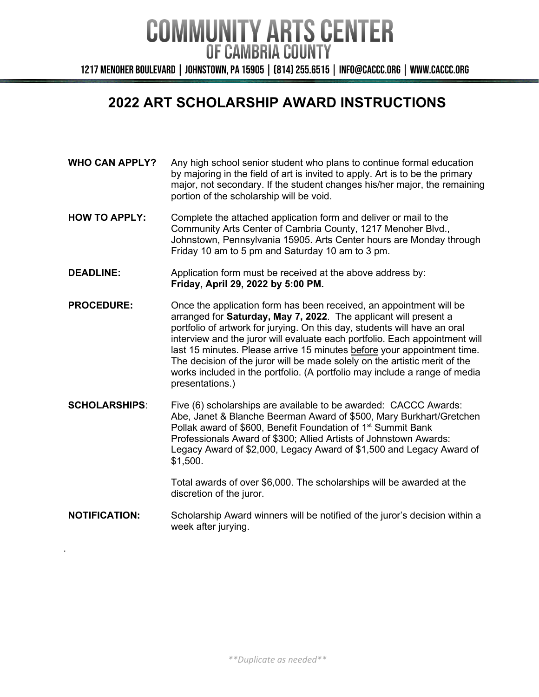1217 Menoher Boulevard | Johnstown, PA 15905 | (814) 255.6515 | info@caccc.org | www.caccc.org

### **2022 ART SCHOLARSHIP AWARD INSTRUCTIONS**

- **WHO CAN APPLY?** Any high school senior student who plans to continue formal education by majoring in the field of art is invited to apply. Art is to be the primary major, not secondary. If the student changes his/her major, the remaining portion of the scholarship will be void.
- **HOW TO APPLY:** Complete the attached application form and deliver or mail to the Community Arts Center of Cambria County, 1217 Menoher Blvd., Johnstown, Pennsylvania 15905. Arts Center hours are Monday through Friday 10 am to 5 pm and Saturday 10 am to 3 pm.
- **DEADLINE:** Application form must be received at the above address by: **Friday, April 29, 2022 by 5:00 PM.**
- **PROCEDURE:** Once the application form has been received, an appointment will be arranged for **Saturday, May 7, 2022**. The applicant will present a portfolio of artwork for jurying. On this day, students will have an oral interview and the juror will evaluate each portfolio. Each appointment will last 15 minutes. Please arrive 15 minutes before your appointment time. The decision of the juror will be made solely on the artistic merit of the works included in the portfolio. (A portfolio may include a range of media presentations.)
- **SCHOLARSHIPS:** Five (6) scholarships are available to be awarded: CACCC Awards: Abe, Janet & Blanche Beerman Award of \$500, Mary Burkhart/Gretchen Pollak award of \$600, Benefit Foundation of 1st Summit Bank Professionals Award of \$300; Allied Artists of Johnstown Awards: Legacy Award of \$2,000, Legacy Award of \$1,500 and Legacy Award of \$1,500.

Total awards of over \$6,000. The scholarships will be awarded at the discretion of the juror.

**NOTIFICATION:** Scholarship Award winners will be notified of the juror's decision within a week after jurying.

.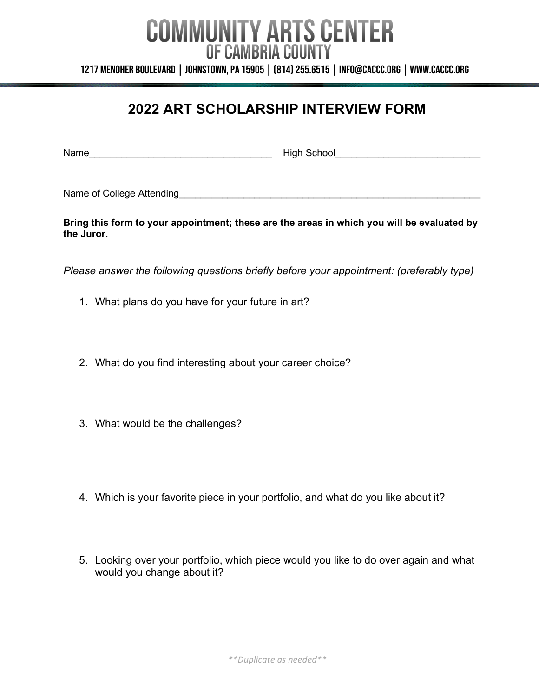1217 Menoher Boulevard | Johnstown, PA 15905 | (814) 255.6515 | info@caccc.org | www.caccc.org

### **2022 ART SCHOLARSHIP INTERVIEW FORM**

Name\_\_\_\_\_\_\_\_\_\_\_\_\_\_\_\_\_\_\_\_\_\_\_\_\_\_\_\_\_\_\_\_\_\_ High School\_\_\_\_\_\_\_\_\_\_\_\_\_\_\_\_\_\_\_\_\_\_\_\_\_\_\_

Name of College Attending and the state of  $\Box$ 

**Bring this form to your appointment; these are the areas in which you will be evaluated by the Juror.**

*Please answer the following questions briefly before your appointment: (preferably type)*

- 1. What plans do you have for your future in art?
- 2. What do you find interesting about your career choice?
- 3. What would be the challenges?
- 4. Which is your favorite piece in your portfolio, and what do you like about it?
- 5. Looking over your portfolio, which piece would you like to do over again and what would you change about it?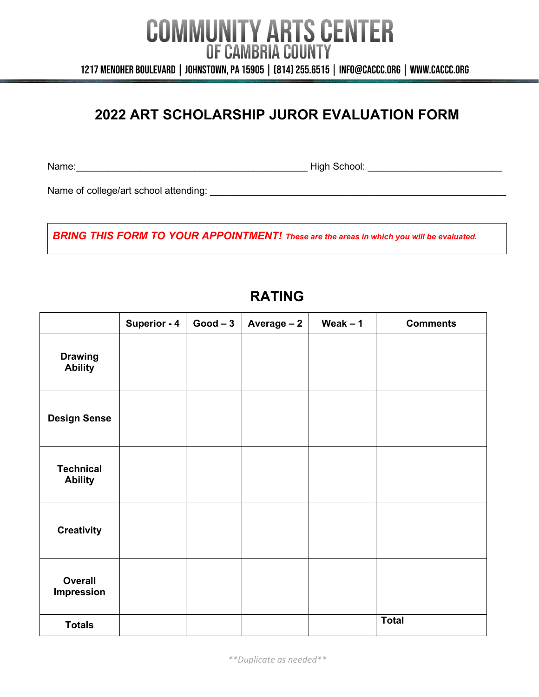1217 Menoher Boulevard | Johnstown, PA 15905 | (814) 255.6515 | info@caccc.org | www.caccc.org

## **2022 ART SCHOLARSHIP JUROR EVALUATION FORM**

Name:\_\_\_\_\_\_\_\_\_\_\_\_\_\_\_\_\_\_\_\_\_\_\_\_\_\_\_\_\_\_\_\_\_\_\_\_\_\_\_\_\_\_\_ High School: \_\_\_\_\_\_\_\_\_\_\_\_\_\_\_\_\_\_\_\_\_\_\_\_\_

Name of college/art school attending: \_\_\_\_\_\_\_\_\_\_\_\_\_\_\_\_\_\_\_\_\_\_\_\_\_\_\_\_\_\_\_\_\_\_\_\_\_\_\_\_\_\_\_\_\_\_\_\_\_\_\_\_\_\_\_

*BRING THIS FORM TO YOUR APPOINTMENT! These are the areas in which you will be evaluated.*

### **RATING**

|                                    | <b>Superior - 4</b> | $Good-3$ | Average - 2 | Weak $-1$ | <b>Comments</b> |
|------------------------------------|---------------------|----------|-------------|-----------|-----------------|
| <b>Drawing</b><br><b>Ability</b>   |                     |          |             |           |                 |
| <b>Design Sense</b>                |                     |          |             |           |                 |
| <b>Technical</b><br><b>Ability</b> |                     |          |             |           |                 |
| <b>Creativity</b>                  |                     |          |             |           |                 |
| <b>Overall</b><br>Impression       |                     |          |             |           |                 |
| <b>Totals</b>                      |                     |          |             |           | <b>Total</b>    |

*\*\*Duplicate as needed\*\**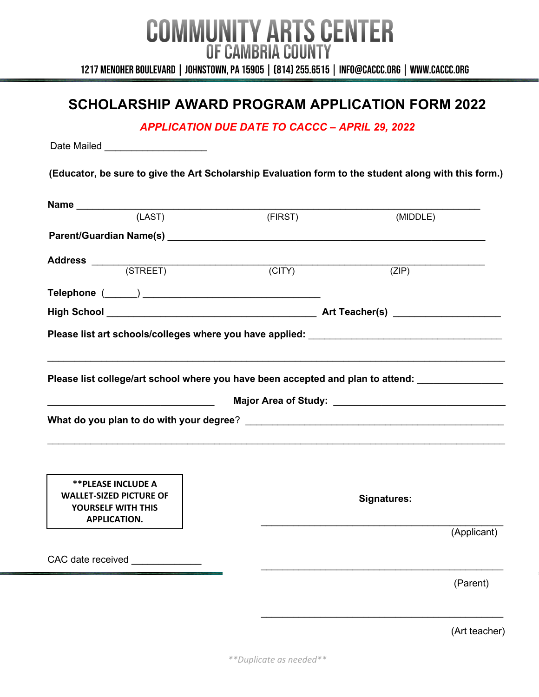1217 Menoher Boulevard | Johnstown, PA 15905 | (814) 255.6515 | info@caccc.org | www.caccc.org

### **SCHOLARSHIP AWARD PROGRAM APPLICATION FORM 2022**

*APPLICATION DUE DATE TO CACCC – APRIL 29, 2022*

Date Mailed **Laters** 

**(Educator, be sure to give the Art Scholarship Evaluation form to the student along with this form.)**

| (LAST)                                                                                                                                                                                                                         | (FIRST) | (MIDDLE)           |  |  |  |  |
|--------------------------------------------------------------------------------------------------------------------------------------------------------------------------------------------------------------------------------|---------|--------------------|--|--|--|--|
| Parent/Guardian Name(s) expression of the contract of the contract of the contract of the contract of the contract of the contract of the contract of the contract of the contract of the contract of the contract of the cont |         |                    |  |  |  |  |
|                                                                                                                                                                                                                                |         |                    |  |  |  |  |
|                                                                                                                                                                                                                                | (CITY)  | (ZIP)              |  |  |  |  |
|                                                                                                                                                                                                                                |         |                    |  |  |  |  |
|                                                                                                                                                                                                                                |         |                    |  |  |  |  |
|                                                                                                                                                                                                                                |         |                    |  |  |  |  |
| Please list college/art school where you have been accepted and plan to attend:                                                                                                                                                |         |                    |  |  |  |  |
|                                                                                                                                                                                                                                |         |                    |  |  |  |  |
|                                                                                                                                                                                                                                |         |                    |  |  |  |  |
| <b>**PLEASE INCLUDE A</b>                                                                                                                                                                                                      |         |                    |  |  |  |  |
| <b>WALLET-SIZED PICTURE OF</b><br><b>YOURSELF WITH THIS</b><br><b>APPLICATION.</b>                                                                                                                                             |         | <b>Signatures:</b> |  |  |  |  |
|                                                                                                                                                                                                                                |         | (Applicant)        |  |  |  |  |
| CAC date received ______________                                                                                                                                                                                               |         |                    |  |  |  |  |
|                                                                                                                                                                                                                                |         | (Parent)           |  |  |  |  |
|                                                                                                                                                                                                                                |         | (Art teacher)      |  |  |  |  |

*\*\*Duplicate as needed\*\**